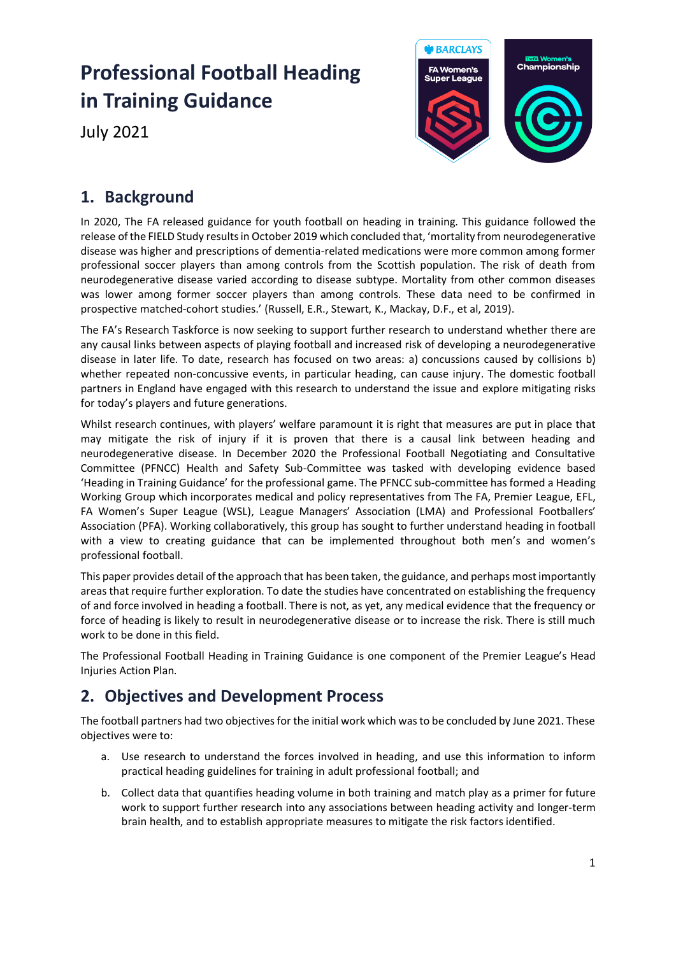# **Professional Football Heading in Training Guidance**

July 2021



## **1. Background**

In 2020, The FA released guidance for youth football on heading in training. This guidance followed the release of the FIELD Study results in October 2019 which concluded that, 'mortality from neurodegenerative disease was higher and prescriptions of dementia-related medications were more common among former professional soccer players than among controls from the Scottish population. The risk of death from neurodegenerative disease varied according to disease subtype. Mortality from other common diseases was lower among former soccer players than among controls. These data need to be confirmed in prospective matched-cohort studies.' (Russell, E.R., Stewart, K., Mackay, D.F., et al, 2019).

The FA's Research Taskforce is now seeking to support further research to understand whether there are any causal links between aspects of playing football and increased risk of developing a neurodegenerative disease in later life. To date, research has focused on two areas: a) concussions caused by collisions b) whether repeated non-concussive events, in particular heading, can cause injury. The domestic football partners in England have engaged with this research to understand the issue and explore mitigating risks for today's players and future generations.

Whilst research continues, with players' welfare paramount it is right that measures are put in place that may mitigate the risk of injury if it is proven that there is a causal link between heading and neurodegenerative disease. In December 2020 the Professional Football Negotiating and Consultative Committee (PFNCC) Health and Safety Sub-Committee was tasked with developing evidence based 'Heading in Training Guidance' for the professional game. The PFNCC sub-committee has formed a Heading Working Group which incorporates medical and policy representatives from The FA, Premier League, EFL, FA Women's Super League (WSL), League Managers' Association (LMA) and Professional Footballers' Association (PFA). Working collaboratively, this group has sought to further understand heading in football with a view to creating guidance that can be implemented throughout both men's and women's professional football.

This paper provides detail of the approach that has been taken, the guidance, and perhaps most importantly areas that require further exploration. To date the studies have concentrated on establishing the frequency of and force involved in heading a football. There is not, as yet, any medical evidence that the frequency or force of heading is likely to result in neurodegenerative disease or to increase the risk. There is still much work to be done in this field.

The Professional Football Heading in Training Guidance is one component of the Premier League's Head Injuries Action Plan.

## **2. Objectives and Development Process**

The football partners had two objectives for the initial work which was to be concluded by June 2021. These objectives were to:

- a. Use research to understand the forces involved in heading, and use this information to inform practical heading guidelines for training in adult professional football; and
- b. Collect data that quantifies heading volume in both training and match play as a primer for future work to support further research into any associations between heading activity and longer-term brain health, and to establish appropriate measures to mitigate the risk factors identified.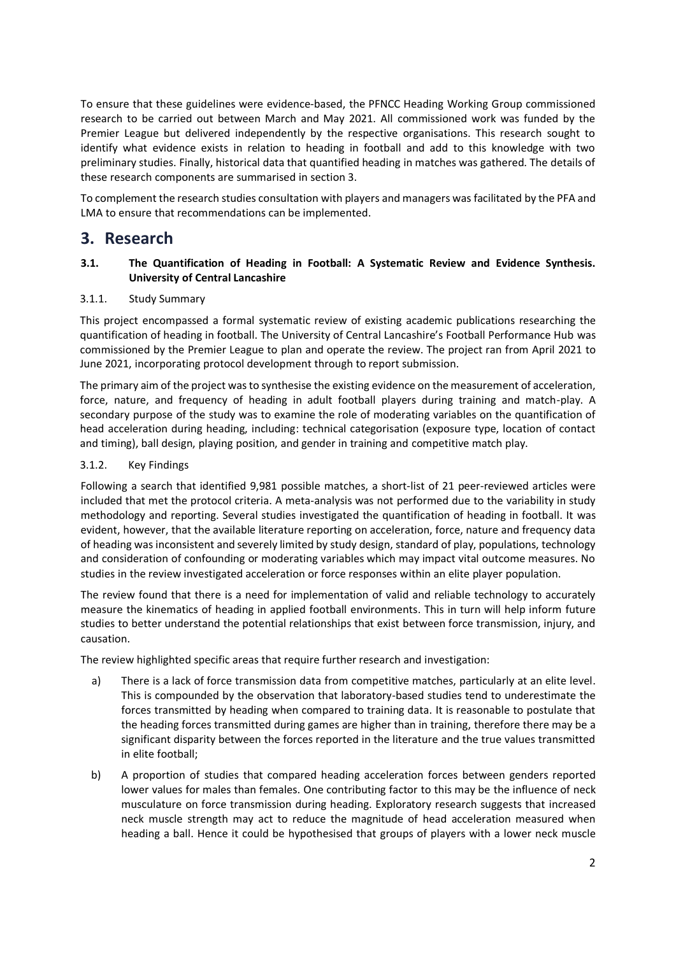To ensure that these guidelines were evidence-based, the PFNCC Heading Working Group commissioned research to be carried out between March and May 2021. All commissioned work was funded by the Premier League but delivered independently by the respective organisations. This research sought to identify what evidence exists in relation to heading in football and add to this knowledge with two preliminary studies. Finally, historical data that quantified heading in matches was gathered. The details of these research components are summarised in section 3.

To complement the research studies consultation with players and managers was facilitated by the PFA and LMA to ensure that recommendations can be implemented.

### **3. Research**

#### **3.1. The Quantification of Heading in Football: A Systematic Review and Evidence Synthesis. University of Central Lancashire**

#### 3.1.1. Study Summary

This project encompassed a formal systematic review of existing academic publications researching the quantification of heading in football. The University of Central Lancashire's Football Performance Hub was commissioned by the Premier League to plan and operate the review. The project ran from April 2021 to June 2021, incorporating protocol development through to report submission.

The primary aim of the project was to synthesise the existing evidence on the measurement of acceleration, force, nature, and frequency of heading in adult football players during training and match-play. A secondary purpose of the study was to examine the role of moderating variables on the quantification of head acceleration during heading, including: technical categorisation (exposure type, location of contact and timing), ball design, playing position, and gender in training and competitive match play.

#### 3.1.2. Key Findings

Following a search that identified 9,981 possible matches, a short-list of 21 peer-reviewed articles were included that met the protocol criteria. A meta-analysis was not performed due to the variability in study methodology and reporting. Several studies investigated the quantification of heading in football. It was evident, however, that the available literature reporting on acceleration, force, nature and frequency data of heading was inconsistent and severely limited by study design, standard of play, populations, technology and consideration of confounding or moderating variables which may impact vital outcome measures. No studies in the review investigated acceleration or force responses within an elite player population.

The review found that there is a need for implementation of valid and reliable technology to accurately measure the kinematics of heading in applied football environments. This in turn will help inform future studies to better understand the potential relationships that exist between force transmission, injury, and causation.

The review highlighted specific areas that require further research and investigation:

- a) There is a lack of force transmission data from competitive matches, particularly at an elite level. This is compounded by the observation that laboratory-based studies tend to underestimate the forces transmitted by heading when compared to training data. It is reasonable to postulate that the heading forces transmitted during games are higher than in training, therefore there may be a significant disparity between the forces reported in the literature and the true values transmitted in elite football;
- b) A proportion of studies that compared heading acceleration forces between genders reported lower values for males than females. One contributing factor to this may be the influence of neck musculature on force transmission during heading. Exploratory research suggests that increased neck muscle strength may act to reduce the magnitude of head acceleration measured when heading a ball. Hence it could be hypothesised that groups of players with a lower neck muscle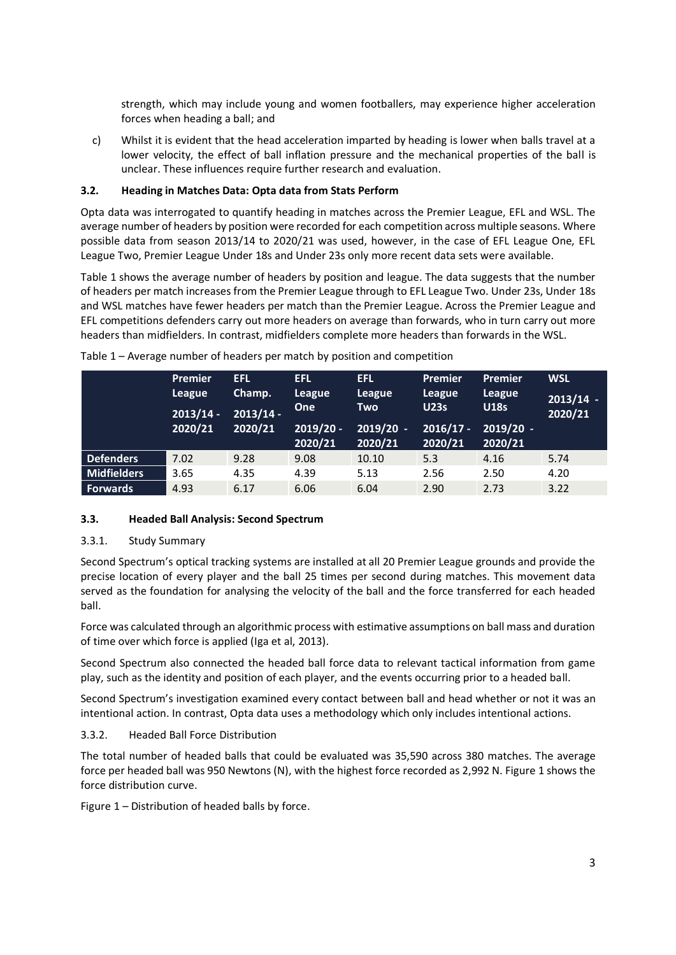strength, which may include young and women footballers, may experience higher acceleration forces when heading a ball; and

c) Whilst it is evident that the head acceleration imparted by heading is lower when balls travel at a lower velocity, the effect of ball inflation pressure and the mechanical properties of the ball is unclear. These influences require further research and evaluation.

#### **3.2. Heading in Matches Data: Opta data from Stats Perform**

Opta data was interrogated to quantify heading in matches across the Premier League, EFL and WSL. The average number of headers by position were recorded for each competition across multiple seasons. Where possible data from season 2013/14 to 2020/21 was used, however, in the case of EFL League One, EFL League Two, Premier League Under 18s and Under 23s only more recent data sets were available.

Table 1 shows the average number of headers by position and league. The data suggests that the number of headers per match increases from the Premier League through to EFL League Two. Under 23s, Under 18s and WSL matches have fewer headers per match than the Premier League. Across the Premier League and EFL competitions defenders carry out more headers on average than forwards, who in turn carry out more headers than midfielders. In contrast, midfielders complete more headers than forwards in the WSL.

|                    | <b>Premier</b><br>League<br>$2013/14 -$<br>2020/21 | <b>EFL</b><br>Champ.<br>$2013/14 -$<br>2020/21 | <b>EFL</b><br>League<br><b>One</b><br>$2019/20 -$<br>2020/21 | <b>EFL</b><br>League<br>Two<br>$2019/20 -$<br>2020/21 | Premier<br>League<br><b>U23s</b><br>$2016/17 -$<br>2020/21 | <b>Premier</b><br>League<br><b>U18s</b><br>$2019/20 -$<br>2020/21 | <b>WSL</b><br>$2013/14 -$<br>2020/21 |
|--------------------|----------------------------------------------------|------------------------------------------------|--------------------------------------------------------------|-------------------------------------------------------|------------------------------------------------------------|-------------------------------------------------------------------|--------------------------------------|
| <b>Defenders</b>   | 7.02                                               | 9.28                                           | 9.08                                                         | 10.10                                                 | 5.3                                                        | 4.16                                                              | 5.74                                 |
| <b>Midfielders</b> | 3.65                                               | 4.35                                           | 4.39                                                         | 5.13                                                  | 2.56                                                       | 2.50                                                              | 4.20                                 |
| <b>Forwards</b>    | 4.93                                               | 6.17                                           | 6.06                                                         | 6.04                                                  | 2.90                                                       | 2.73                                                              | 3.22                                 |

Table 1 – Average number of headers per match by position and competition

#### **3.3. Headed Ball Analysis: Second Spectrum**

#### 3.3.1. Study Summary

Second Spectrum's optical tracking systems are installed at all 20 Premier League grounds and provide the precise location of every player and the ball 25 times per second during matches. This movement data served as the foundation for analysing the velocity of the ball and the force transferred for each headed ball.

Force was calculated through an algorithmic process with estimative assumptions on ball mass and duration of time over which force is applied (Iga et al, 2013).

Second Spectrum also connected the headed ball force data to relevant tactical information from game play, such as the identity and position of each player, and the events occurring prior to a headed ball.

Second Spectrum's investigation examined every contact between ball and head whether or not it was an intentional action. In contrast, Opta data uses a methodology which only includes intentional actions.

#### 3.3.2. Headed Ball Force Distribution

The total number of headed balls that could be evaluated was 35,590 across 380 matches. The average force per headed ball was 950 Newtons (N), with the highest force recorded as 2,992 N. Figure 1 shows the force distribution curve.

Figure 1 – Distribution of headed balls by force.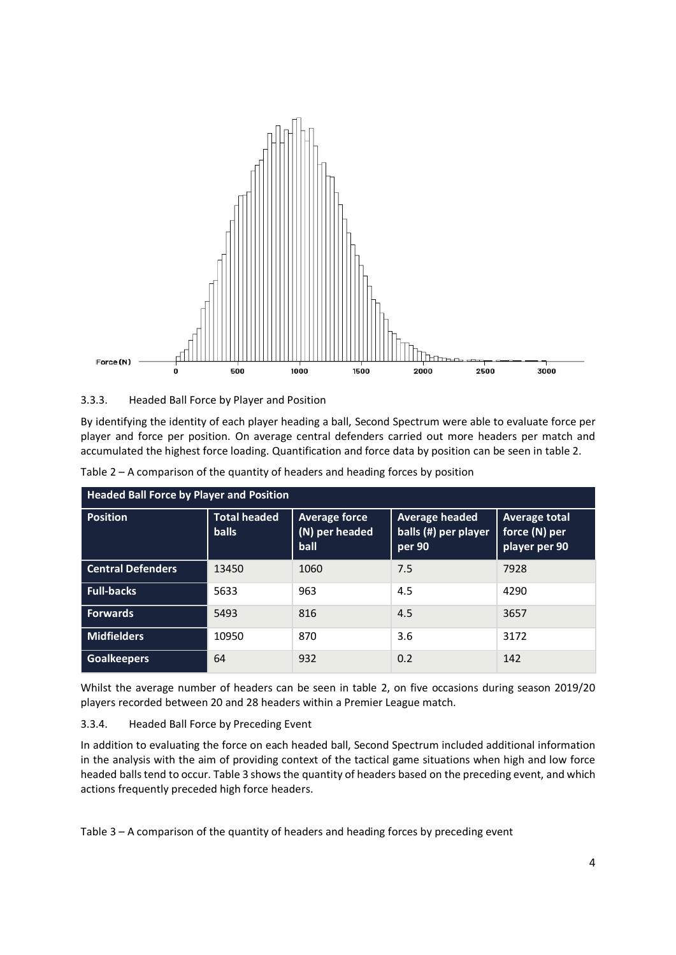

3.3.3. Headed Ball Force by Player and Position

By identifying the identity of each player heading a ball, Second Spectrum were able to evaluate force per player and force per position. On average central defenders carried out more headers per match and accumulated the highest force loading. Quantification and force data by position can be seen in table 2.

| <b>Headed Ball Force by Player and Position</b> |                                     |                                                  |                                                         |                                                        |  |  |  |
|-------------------------------------------------|-------------------------------------|--------------------------------------------------|---------------------------------------------------------|--------------------------------------------------------|--|--|--|
| <b>Position</b>                                 | <b>Total headed</b><br><b>balls</b> | <b>Average force</b><br>$(N)$ per headed<br>ball | <b>Average headed</b><br>balls (#) per player<br>per 90 | <b>Average total</b><br>force (N) per<br>player per 90 |  |  |  |
| <b>Central Defenders</b>                        | 13450                               | 1060                                             | 7.5                                                     | 7928                                                   |  |  |  |
| <b>Full-backs</b>                               | 5633                                | 963                                              | 4.5                                                     | 4290                                                   |  |  |  |
| <b>Forwards</b>                                 | 5493                                | 816                                              | 4.5                                                     | 3657                                                   |  |  |  |
| <b>Midfielders</b>                              | 10950                               | 870                                              | 3.6                                                     | 3172                                                   |  |  |  |
| <b>Goalkeepers</b>                              | 64                                  | 932                                              | 0.2                                                     | 142                                                    |  |  |  |

Table 2 – A comparison of the quantity of headers and heading forces by position

Whilst the average number of headers can be seen in table 2, on five occasions during season 2019/20 players recorded between 20 and 28 headers within a Premier League match.

#### 3.3.4. Headed Ball Force by Preceding Event

In addition to evaluating the force on each headed ball, Second Spectrum included additional information in the analysis with the aim of providing context of the tactical game situations when high and low force headed balls tend to occur. Table 3 shows the quantity of headers based on the preceding event, and which actions frequently preceded high force headers.

Table 3 – A comparison of the quantity of headers and heading forces by preceding event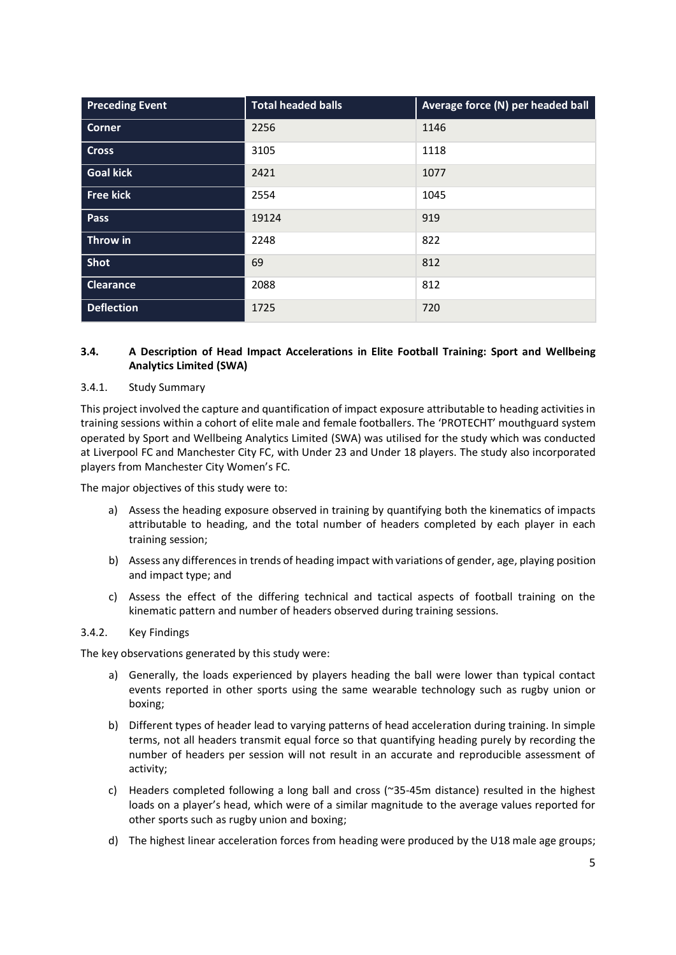| <b>Preceding Event</b> | <b>Total headed balls</b> | Average force (N) per headed ball |  |
|------------------------|---------------------------|-----------------------------------|--|
| <b>Corner</b>          | 2256                      | 1146                              |  |
| <b>Cross</b>           | 3105                      | 1118                              |  |
| <b>Goal kick</b>       | 2421                      | 1077                              |  |
| <b>Free kick</b>       | 2554                      | 1045                              |  |
| Pass                   | 19124                     | 919                               |  |
| Throw in               | 2248                      | 822                               |  |
| Shot                   | 69                        | 812                               |  |
| <b>Clearance</b>       | 2088                      | 812                               |  |
| <b>Deflection</b>      | 1725                      | 720                               |  |

#### **3.4. A Description of Head Impact Accelerations in Elite Football Training: Sport and Wellbeing Analytics Limited (SWA)**

#### 3.4.1. Study Summary

This project involved the capture and quantification of impact exposure attributable to heading activities in training sessions within a cohort of elite male and female footballers. The 'PROTECHT' mouthguard system operated by Sport and Wellbeing Analytics Limited (SWA) was utilised for the study which was conducted at Liverpool FC and Manchester City FC, with Under 23 and Under 18 players. The study also incorporated players from Manchester City Women's FC.

The major objectives of this study were to:

- a) Assess the heading exposure observed in training by quantifying both the kinematics of impacts attributable to heading, and the total number of headers completed by each player in each training session;
- b) Assess any differences in trends of heading impact with variations of gender, age, playing position and impact type; and
- c) Assess the effect of the differing technical and tactical aspects of football training on the kinematic pattern and number of headers observed during training sessions.

#### 3.4.2. Key Findings

The key observations generated by this study were:

- a) Generally, the loads experienced by players heading the ball were lower than typical contact events reported in other sports using the same wearable technology such as rugby union or boxing;
- b) Different types of header lead to varying patterns of head acceleration during training. In simple terms, not all headers transmit equal force so that quantifying heading purely by recording the number of headers per session will not result in an accurate and reproducible assessment of activity;
- c) Headers completed following a long ball and cross (~35-45m distance) resulted in the highest loads on a player's head, which were of a similar magnitude to the average values reported for other sports such as rugby union and boxing;
- d) The highest linear acceleration forces from heading were produced by the U18 male age groups;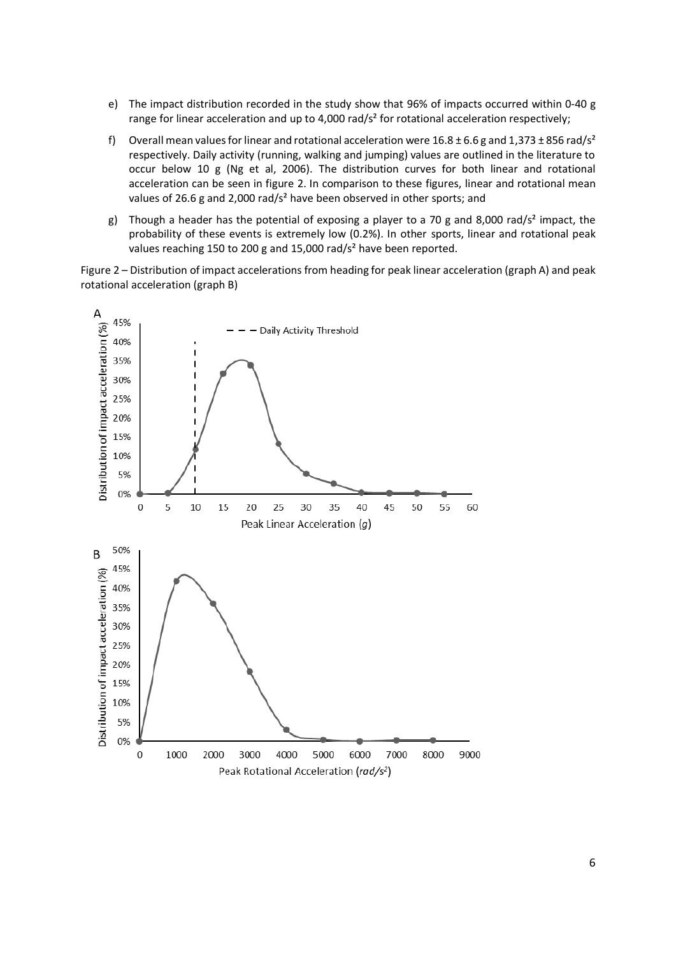- e) The impact distribution recorded in the study show that 96% of impacts occurred within 0-40 g range for linear acceleration and up to 4,000 rad/s<sup>2</sup> for rotational acceleration respectively;
- f) Overall mean values for linear and rotational acceleration were  $16.8 \pm 6.6$  g and  $1,373 \pm 856$  rad/s<sup>2</sup> respectively. Daily activity (running, walking and jumping) values are outlined in the literature to occur below 10 g (Ng et al, 2006). The distribution curves for both linear and rotational acceleration can be seen in figure 2. In comparison to these figures, linear and rotational mean values of 26.6 g and 2,000 rad/s<sup>2</sup> have been observed in other sports; and
- g) Though a header has the potential of exposing a player to a 70 g and 8,000 rad/s<sup>2</sup> impact, the probability of these events is extremely low (0.2%). In other sports, linear and rotational peak values reaching 150 to 200 g and 15,000 rad/s<sup>2</sup> have been reported.

Figure 2 – Distribution of impact accelerations from heading for peak linear acceleration (graph A) and peak rotational acceleration (graph B)

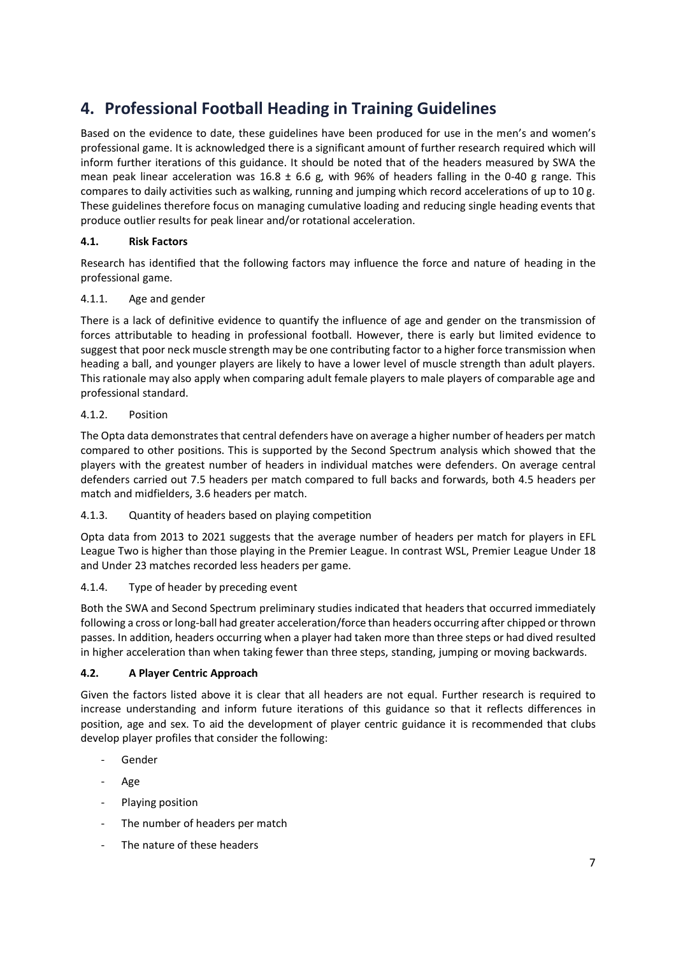## **4. Professional Football Heading in Training Guidelines**

Based on the evidence to date, these guidelines have been produced for use in the men's and women's professional game. It is acknowledged there is a significant amount of further research required which will inform further iterations of this guidance. It should be noted that of the headers measured by SWA the mean peak linear acceleration was  $16.8 \pm 6.6$  g, with 96% of headers falling in the 0-40 g range. This compares to daily activities such as walking, running and jumping which record accelerations of up to 10 g. These guidelines therefore focus on managing cumulative loading and reducing single heading events that produce outlier results for peak linear and/or rotational acceleration.

#### **4.1. Risk Factors**

Research has identified that the following factors may influence the force and nature of heading in the professional game.

#### 4.1.1. Age and gender

There is a lack of definitive evidence to quantify the influence of age and gender on the transmission of forces attributable to heading in professional football. However, there is early but limited evidence to suggest that poor neck muscle strength may be one contributing factor to a higher force transmission when heading a ball, and younger players are likely to have a lower level of muscle strength than adult players. This rationale may also apply when comparing adult female players to male players of comparable age and professional standard.

#### 4.1.2. Position

The Opta data demonstrates that central defenders have on average a higher number of headers per match compared to other positions. This is supported by the Second Spectrum analysis which showed that the players with the greatest number of headers in individual matches were defenders. On average central defenders carried out 7.5 headers per match compared to full backs and forwards, both 4.5 headers per match and midfielders, 3.6 headers per match.

#### 4.1.3. Quantity of headers based on playing competition

Opta data from 2013 to 2021 suggests that the average number of headers per match for players in EFL League Two is higher than those playing in the Premier League. In contrast WSL, Premier League Under 18 and Under 23 matches recorded less headers per game.

#### 4.1.4. Type of header by preceding event

Both the SWA and Second Spectrum preliminary studies indicated that headers that occurred immediately following a cross or long-ball had greater acceleration/force than headers occurring after chipped or thrown passes. In addition, headers occurring when a player had taken more than three steps or had dived resulted in higher acceleration than when taking fewer than three steps, standing, jumping or moving backwards.

#### **4.2. A Player Centric Approach**

Given the factors listed above it is clear that all headers are not equal. Further research is required to increase understanding and inform future iterations of this guidance so that it reflects differences in position, age and sex. To aid the development of player centric guidance it is recommended that clubs develop player profiles that consider the following:

- **Gender**
- Age
- Playing position
- The number of headers per match
- The nature of these headers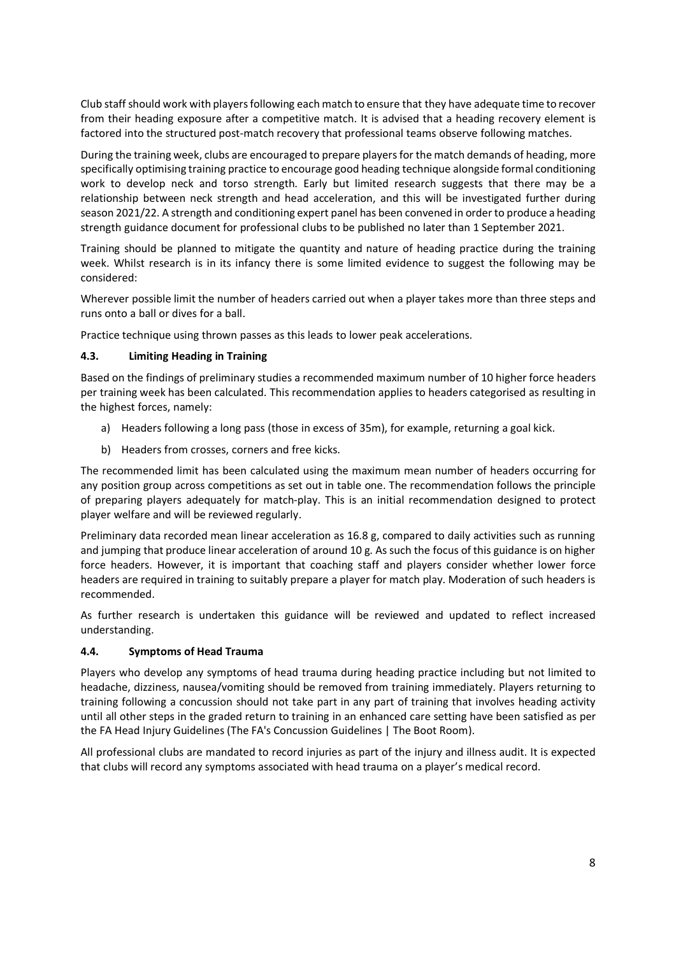Club staff should work with players following each match to ensure that they have adequate time to recover from their heading exposure after a competitive match. It is advised that a heading recovery element is factored into the structured post-match recovery that professional teams observe following matches.

During the training week, clubs are encouraged to prepare players for the match demands of heading, more specifically optimising training practice to encourage good heading technique alongside formal conditioning work to develop neck and torso strength. Early but limited research suggests that there may be a relationship between neck strength and head acceleration, and this will be investigated further during season 2021/22. A strength and conditioning expert panel has been convened in order to produce a heading strength guidance document for professional clubs to be published no later than 1 September 2021.

Training should be planned to mitigate the quantity and nature of heading practice during the training week. Whilst research is in its infancy there is some limited evidence to suggest the following may be considered:

Wherever possible limit the number of headers carried out when a player takes more than three steps and runs onto a ball or dives for a ball.

Practice technique using thrown passes as this leads to lower peak accelerations.

#### **4.3. Limiting Heading in Training**

Based on the findings of preliminary studies a recommended maximum number of 10 higher force headers per training week has been calculated. This recommendation applies to headers categorised as resulting in the highest forces, namely:

- a) Headers following a long pass (those in excess of 35m), for example, returning a goal kick.
- b) Headers from crosses, corners and free kicks.

The recommended limit has been calculated using the maximum mean number of headers occurring for any position group across competitions as set out in table one. The recommendation follows the principle of preparing players adequately for match-play. This is an initial recommendation designed to protect player welfare and will be reviewed regularly.

Preliminary data recorded mean linear acceleration as 16.8 g, compared to daily activities such as running and jumping that produce linear acceleration of around 10 g. As such the focus of this guidance is on higher force headers. However, it is important that coaching staff and players consider whether lower force headers are required in training to suitably prepare a player for match play. Moderation of such headers is recommended.

As further research is undertaken this guidance will be reviewed and updated to reflect increased understanding.

#### **4.4. Symptoms of Head Trauma**

Players who develop any symptoms of head trauma during heading practice including but not limited to headache, dizziness, nausea/vomiting should be removed from training immediately. Players returning to training following a concussion should not take part in any part of training that involves heading activity until all other steps in the graded return to training in an enhanced care setting have been satisfied as per the FA Head Injury Guidelines [\(The FA's Concussion Guidelines | The Boot Room\)](https://thebootroom.thefa.com/resources/coaching/the-fas-concussion-guidelines).

All professional clubs are mandated to record injuries as part of the injury and illness audit. It is expected that clubs will record any symptoms associated with head trauma on a player's medical record.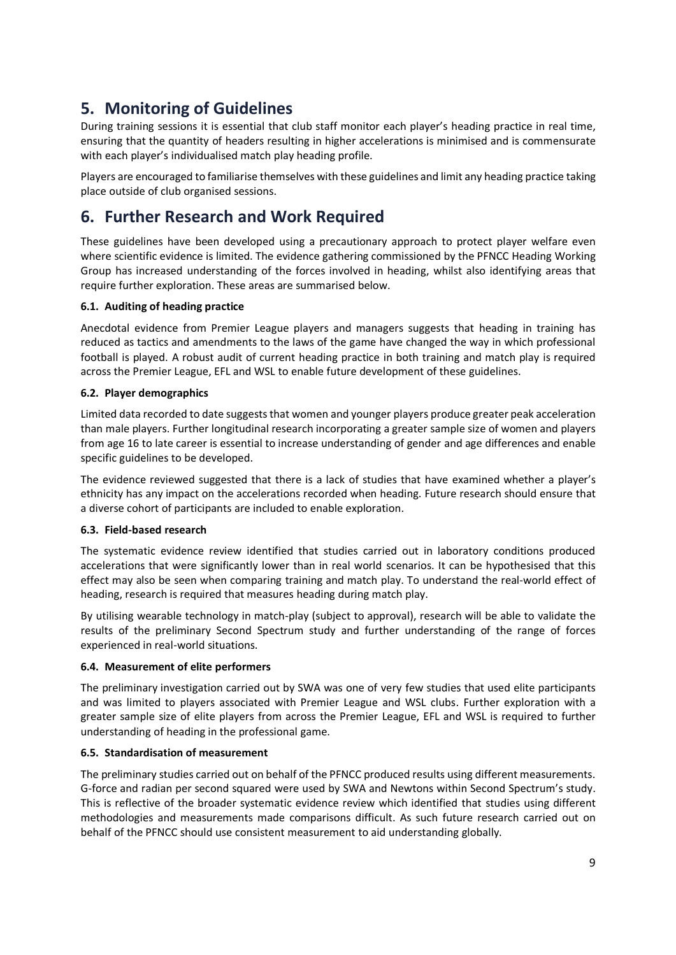## **5. Monitoring of Guidelines**

During training sessions it is essential that club staff monitor each player's heading practice in real time, ensuring that the quantity of headers resulting in higher accelerations is minimised and is commensurate with each player's individualised match play heading profile.

Players are encouraged to familiarise themselves with these guidelines and limit any heading practice taking place outside of club organised sessions.

### **6. Further Research and Work Required**

These guidelines have been developed using a precautionary approach to protect player welfare even where scientific evidence is limited. The evidence gathering commissioned by the PFNCC Heading Working Group has increased understanding of the forces involved in heading, whilst also identifying areas that require further exploration. These areas are summarised below.

#### **6.1. Auditing of heading practice**

Anecdotal evidence from Premier League players and managers suggests that heading in training has reduced as tactics and amendments to the laws of the game have changed the way in which professional football is played. A robust audit of current heading practice in both training and match play is required across the Premier League, EFL and WSL to enable future development of these guidelines.

#### **6.2. Player demographics**

Limited data recorded to date suggests that women and younger players produce greater peak acceleration than male players. Further longitudinal research incorporating a greater sample size of women and players from age 16 to late career is essential to increase understanding of gender and age differences and enable specific guidelines to be developed.

The evidence reviewed suggested that there is a lack of studies that have examined whether a player's ethnicity has any impact on the accelerations recorded when heading. Future research should ensure that a diverse cohort of participants are included to enable exploration.

#### **6.3. Field-based research**

The systematic evidence review identified that studies carried out in laboratory conditions produced accelerations that were significantly lower than in real world scenarios. It can be hypothesised that this effect may also be seen when comparing training and match play. To understand the real-world effect of heading, research is required that measures heading during match play.

By utilising wearable technology in match-play (subject to approval), research will be able to validate the results of the preliminary Second Spectrum study and further understanding of the range of forces experienced in real-world situations.

#### **6.4. Measurement of elite performers**

The preliminary investigation carried out by SWA was one of very few studies that used elite participants and was limited to players associated with Premier League and WSL clubs. Further exploration with a greater sample size of elite players from across the Premier League, EFL and WSL is required to further understanding of heading in the professional game.

#### **6.5. Standardisation of measurement**

The preliminary studies carried out on behalf of the PFNCC produced results using different measurements. G-force and radian per second squared were used by SWA and Newtons within Second Spectrum's study. This is reflective of the broader systematic evidence review which identified that studies using different methodologies and measurements made comparisons difficult. As such future research carried out on behalf of the PFNCC should use consistent measurement to aid understanding globally.